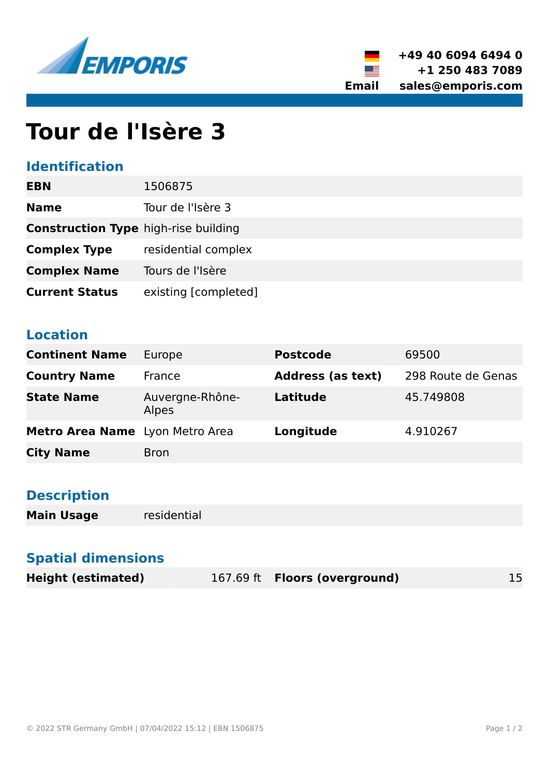



# **Tour de l'Isère 3**

#### **Identification**

| <b>EBN</b>                                  | 1506875              |
|---------------------------------------------|----------------------|
| <b>Name</b>                                 | Tour de l'Isère 3    |
| <b>Construction Type high-rise building</b> |                      |
| <b>Complex Type</b>                         | residential complex  |
| <b>Complex Name</b>                         | Tours de l'Isère     |
| <b>Current Status</b>                       | existing [completed] |

#### **Location**

| <b>Continent Name</b>           | Europe                   | <b>Postcode</b>          | 69500              |
|---------------------------------|--------------------------|--------------------------|--------------------|
| <b>Country Name</b>             | France                   | <b>Address (as text)</b> | 298 Route de Genas |
| <b>State Name</b>               | Auvergne-Rhône-<br>Alpes | <b>Latitude</b>          | 45.749808          |
| Metro Area Name Lyon Metro Area |                          | Longitude                | 4.910267           |
| <b>City Name</b>                | <b>Bron</b>              |                          |                    |

### **Description**

**Main Usage** residential

#### **Spatial dimensions**

| <b>Height (estimated)</b> | 167.69 ft <b>Floors (overground)</b> |  |
|---------------------------|--------------------------------------|--|